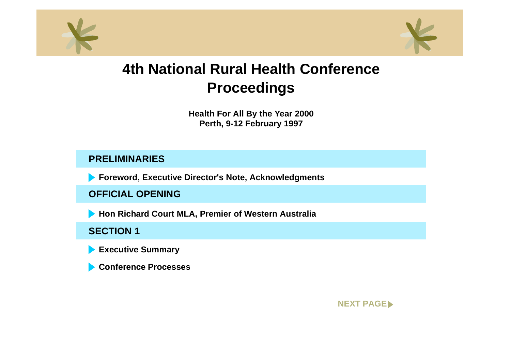<span id="page-0-0"></span>



**Health For All By the Year 2000 Perth, 9-12 February 1997**

## **PRELIMINARIES**

**Foreword, Executive Director's Note, Acknowledgments**

**OFFICIAL OPENING**

**Hon Richard Court MLA, Premier of Western Australia**

## **SECTION 1**

**Executive Summary**

**Conference Processes**

**[NEXT PAGE](#page-1-0)**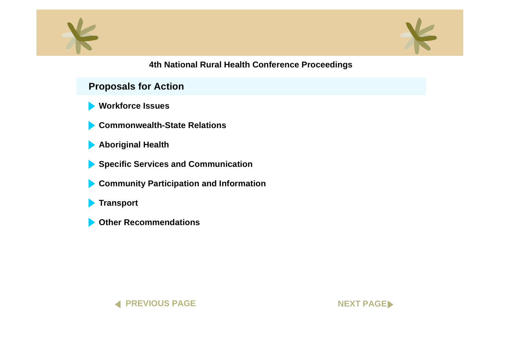<span id="page-1-0"></span>



## **Proposals for Action**

- **[Workforce Issues](#page-0-0)**
- **[Commonwealth-State Relations](#page-0-0)**
- **[Aboriginal Health](#page-0-0)**
- **[Specific Services and Communication](#page-0-0)**
- **[Community Participation and Informatio](#page-0-0)n**
- **[Transport](#page-0-0)**
- **[Other Recommendations](#page-0-0)**



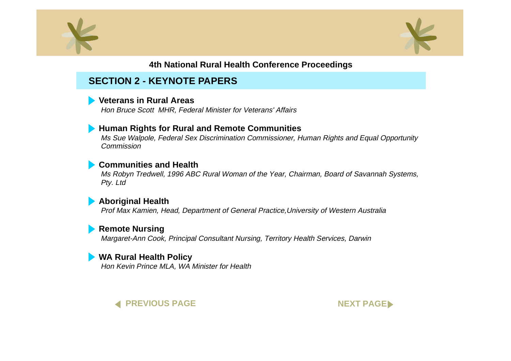<span id="page-2-0"></span>



# **SECTION 2 - KEYNOTE PAPERS**

#### **[Veterans in Rural Areas](#page-0-0)**

Hon Bruce Scott MHR, Federal Minister for Veterans' Affairs

#### **[Human Rights for Rural and Remote Communitie](#page-0-0)s**

Ms Sue Walpole, Federal Sex Discrimination Commissioner, Human Rights and Equal Opportunity Commission

#### **[Communities and Health](#page-0-0)**

Ms Robyn Tredwell, 1996 ABC Rural Woman of the Year, Chairman, Board of Savannah Systems, Pty. Ltd

#### **[Aboriginal Health](#page-0-0)**

Prof Max Kamien, Head, Department of General Practice,University of Western Australia

#### **[Remote Nursing](#page-0-0)**

Margaret-Ann Cook, Principal Consultant Nursing, Territory Health Services, Darwin

#### **[WA Rural Health Policy](#page-0-0)**

Hon Kevin Prince MLA, WA Minister for Health



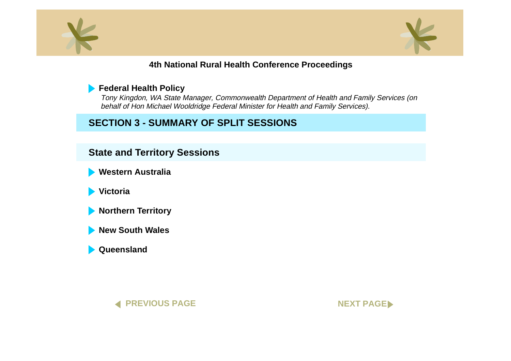<span id="page-3-0"></span>



## **[Federal Health Policy](#page-0-0)**

Tony Kingdon, WA State Manager, Commonwealth Department of Health and Family Services (on behalf of Hon Michael Wooldridge Federal Minister for Health and Family Services).

# **SECTION 3 - SUMMARY OF SPLIT SESSIONS**

## **State and Territory Sessions**

**[Western Australia](#page-0-0)**

**[Victoria](#page-0-0)**

**[Northern Territory](#page-0-0)**

**[New South Wales](#page-0-0)**

**[Queensland](#page-0-0)**



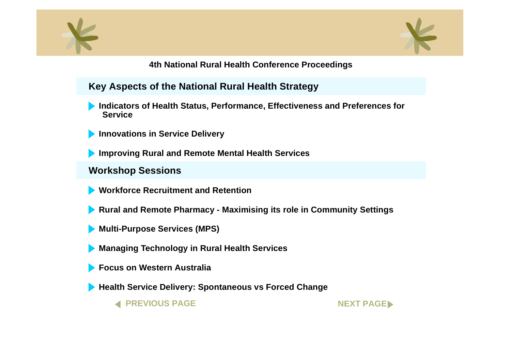<span id="page-4-0"></span>



**Key Aspects of the National Rural Health Strategy**

- **[Indicators of Health Status, Performance, Effectiveness and Preferences for](#page-0-0) Service**
- **[Innovations in Service Delivery](#page-0-0)**

**[Improving Rural and Remote Mental Health Services](#page-0-0)**

## **Workshop Sessions**

**[Workforce Recruitment and Retention](#page-0-0)**

- **[Rural and Remote Pharmacy Maximising its role in Community Setting](#page-0-0)s**
- **[Multi-Purpose Services \(MPS\)](#page-0-0)**
- **[Managing Technology in Rural Health Services](#page-0-0)**
- **[Focus on Western Australia](#page-0-0)**
- **[Health Service Delivery: Spontaneous vs Forced Change](#page-0-0)**

**[PREVIOUS PAGE](#page-3-0) AND REXT PAGE**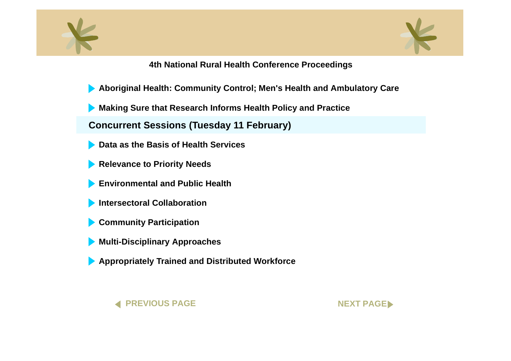<span id="page-5-0"></span>



- **[Aboriginal Health: Community Control; Men's Health and Ambulatory Ca](#page-0-0)re**
- **[Making Sure that Research Informs Health Policy and Practice](#page-0-0)**

**Concurrent Sessions (Tuesday 11 February)**

- **[Data as the Basis of Health Services](#page-0-0)**
- **[Relevance to Priority Needs](#page-0-0)**
- **[Environmental and Public Health](#page-0-0)**
- **[Intersectoral Collaboration](#page-0-0)**
- **[Community Participation](#page-0-0)**
- **[Multi-Disciplinary Approaches](#page-0-0)**
- **[Appropriately Trained and Distributed Workforce](#page-0-0)**



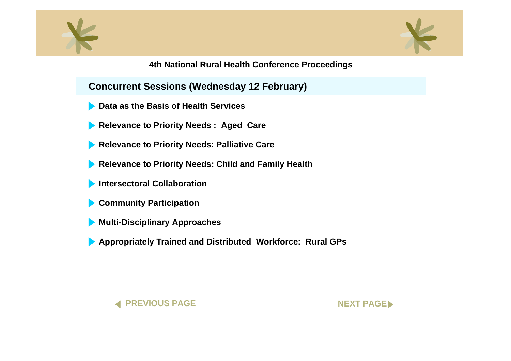<span id="page-6-0"></span>



**Concurrent Sessions (Wednesday 12 February)**

- **[Data as the Basis of Health Services](#page-0-0)**
- **[Relevance to Priority Needs : Aged Care](#page-0-0)**
- **[Relevance to Priority Needs: Palliative Care](#page-0-0)**
- **[Relevance to Priority Needs: Child and Family Health](#page-0-0)**
- **[Intersectoral Collaboration](#page-0-0)**
- **[Community Participation](#page-0-0)**
- **[Multi-Disciplinary Approaches](#page-0-0)**
- **[Appropriately Trained and Distributed Workforce: Rural GPs](#page-0-0)**